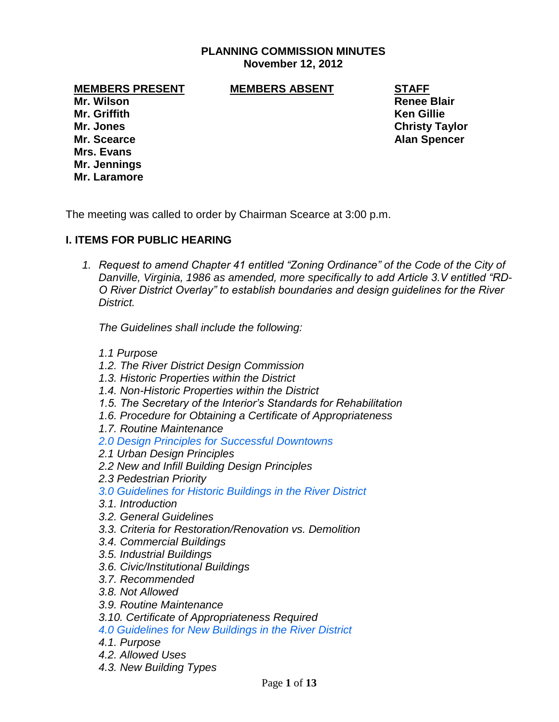## **PLANNING COMMISSION MINUTES November 12, 2012**

**MEMBERS PRESENT MEMBERS ABSENT STAFF**

**Mr. Wilson Renee Blair Mr. Griffith Ken Gillie Mr. Jones Christy Taylor Mr. Scearce Alan Spencer Mrs. Evans Mr. Jennings Mr. Laramore**

The meeting was called to order by Chairman Scearce at 3:00 p.m.

# **I. ITEMS FOR PUBLIC HEARING**

*1. Request to amend Chapter 41 entitled "Zoning Ordinance" of the Code of the City of Danville, Virginia, 1986 as amended, more specifically to add Article 3.V entitled "RD-O River District Overlay" to establish boundaries and design guidelines for the River District.* 

*The Guidelines shall include the following:*

- *1.1 Purpose*
- *1.2. The River District Design Commission*
- *1.3. Historic Properties within the District*
- *1.4. Non-Historic Properties within the District*
- *1.5. The Secretary of the Interior's Standards for Rehabilitation*
- *1.6. Procedure for Obtaining a Certificate of Appropriateness*
- *1.7. Routine Maintenance*
- *2.0 Design Principles for Successful Downtowns*
- *2.1 Urban Design Principles*
- *2.2 New and Infill Building Design Principles*
- *2.3 Pedestrian Priority*
- *3.0 Guidelines for Historic Buildings in the River District*
- *3.1. Introduction*
- *3.2. General Guidelines*
- *3.3. Criteria for Restoration/Renovation vs. Demolition*
- *3.4. Commercial Buildings*
- *3.5. Industrial Buildings*
- *3.6. Civic/Institutional Buildings*
- *3.7. Recommended*
- *3.8. Not Allowed*
- *3.9. Routine Maintenance*
- *3.10. Certificate of Appropriateness Required*
- *4.0 Guidelines for New Buildings in the River District*
- *4.1. Purpose*
- *4.2. Allowed Uses*
- *4.3. New Building Types*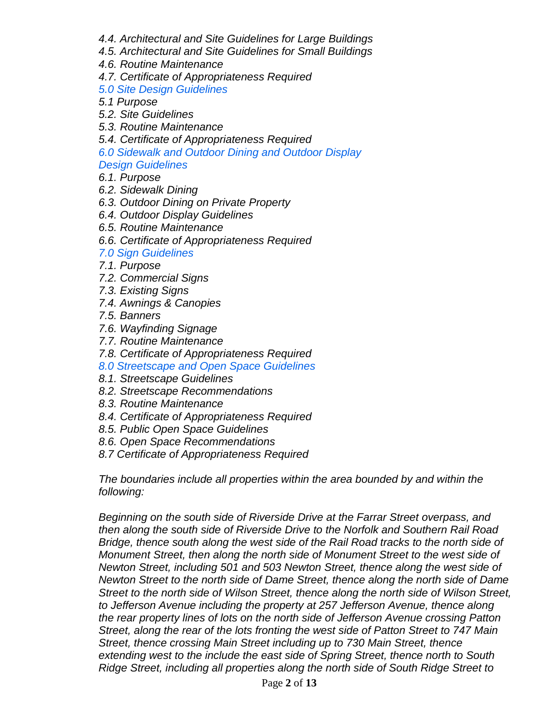- *4.4. Architectural and Site Guidelines for Large Buildings*
- *4.5. Architectural and Site Guidelines for Small Buildings*
- *4.6. Routine Maintenance*
- *4.7. Certificate of Appropriateness Required*

*5.0 Site Design Guidelines* 

- *5.1 Purpose*
- *5.2. Site Guidelines*
- *5.3. Routine Maintenance*
- *5.4. Certificate of Appropriateness Required*
- *6.0 Sidewalk and Outdoor Dining and Outdoor Display*

*Design Guidelines* 

- *6.1. Purpose*
- *6.2. Sidewalk Dining*
- *6.3. Outdoor Dining on Private Property*
- *6.4. Outdoor Display Guidelines*
- *6.5. Routine Maintenance*
- *6.6. Certificate of Appropriateness Required*
- *7.0 Sign Guidelines*
- *7.1. Purpose*
- *7.2. Commercial Signs*
- *7.3. Existing Signs*
- *7.4. Awnings & Canopies*
- *7.5. Banners*
- *7.6. Wayfinding Signage*
- *7.7. Routine Maintenance*
- *7.8. Certificate of Appropriateness Required*
- *8.0 Streetscape and Open Space Guidelines*
- *8.1. Streetscape Guidelines*
- *8.2. Streetscape Recommendations*
- *8.3. Routine Maintenance*
- *8.4. Certificate of Appropriateness Required*
- *8.5. Public Open Space Guidelines*
- *8.6. Open Space Recommendations*
- *8.7 Certificate of Appropriateness Required*

*The boundaries include all properties within the area bounded by and within the following:*

*Beginning on the south side of Riverside Drive at the Farrar Street overpass, and then along the south side of Riverside Drive to the Norfolk and Southern Rail Road Bridge, thence south along the west side of the Rail Road tracks to the north side of Monument Street, then along the north side of Monument Street to the west side of Newton Street, including 501 and 503 Newton Street, thence along the west side of Newton Street to the north side of Dame Street, thence along the north side of Dame Street to the north side of Wilson Street, thence along the north side of Wilson Street, to Jefferson Avenue including the property at 257 Jefferson Avenue, thence along the rear property lines of lots on the north side of Jefferson Avenue crossing Patton Street, along the rear of the lots fronting the west side of Patton Street to 747 Main Street, thence crossing Main Street including up to 730 Main Street, thence extending west to the include the east side of Spring Street, thence north to South Ridge Street, including all properties along the north side of South Ridge Street to*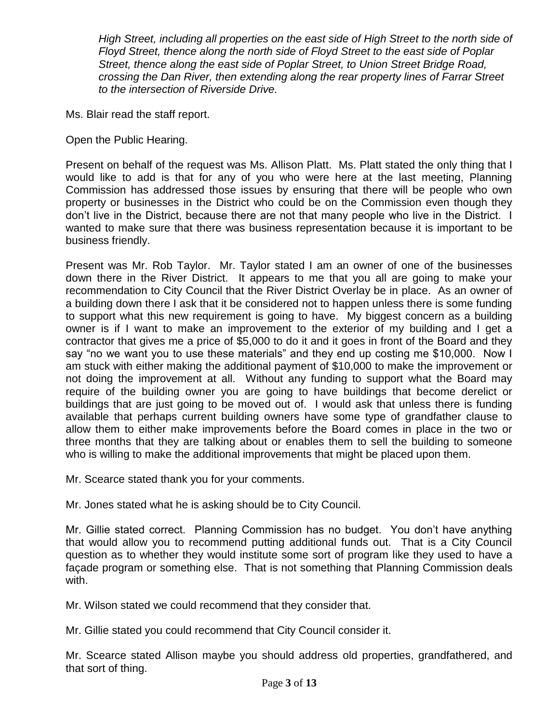*High Street, including all properties on the east side of High Street to the north side of Floyd Street, thence along the north side of Floyd Street to the east side of Poplar Street, thence along the east side of Poplar Street, to Union Street Bridge Road, crossing the Dan River, then extending along the rear property lines of Farrar Street to the intersection of Riverside Drive.*

Ms. Blair read the staff report.

Open the Public Hearing.

Present on behalf of the request was Ms. Allison Platt. Ms. Platt stated the only thing that I would like to add is that for any of you who were here at the last meeting, Planning Commission has addressed those issues by ensuring that there will be people who own property or businesses in the District who could be on the Commission even though they don't live in the District, because there are not that many people who live in the District. I wanted to make sure that there was business representation because it is important to be business friendly.

Present was Mr. Rob Taylor. Mr. Taylor stated I am an owner of one of the businesses down there in the River District. It appears to me that you all are going to make your recommendation to City Council that the River District Overlay be in place. As an owner of a building down there I ask that it be considered not to happen unless there is some funding to support what this new requirement is going to have. My biggest concern as a building owner is if I want to make an improvement to the exterior of my building and I get a contractor that gives me a price of \$5,000 to do it and it goes in front of the Board and they say "no we want you to use these materials" and they end up costing me \$10,000. Now I am stuck with either making the additional payment of \$10,000 to make the improvement or not doing the improvement at all. Without any funding to support what the Board may require of the building owner you are going to have buildings that become derelict or buildings that are just going to be moved out of. I would ask that unless there is funding available that perhaps current building owners have some type of grandfather clause to allow them to either make improvements before the Board comes in place in the two or three months that they are talking about or enables them to sell the building to someone who is willing to make the additional improvements that might be placed upon them.

Mr. Scearce stated thank you for your comments.

Mr. Jones stated what he is asking should be to City Council.

Mr. Gillie stated correct. Planning Commission has no budget. You don't have anything that would allow you to recommend putting additional funds out. That is a City Council question as to whether they would institute some sort of program like they used to have a façade program or something else. That is not something that Planning Commission deals with.

Mr. Wilson stated we could recommend that they consider that.

Mr. Gillie stated you could recommend that City Council consider it.

Mr. Scearce stated Allison maybe you should address old properties, grandfathered, and that sort of thing.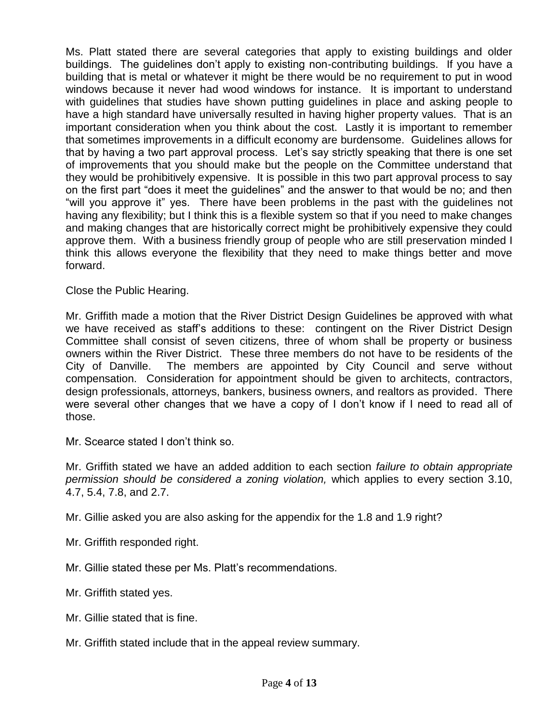Ms. Platt stated there are several categories that apply to existing buildings and older buildings. The guidelines don't apply to existing non-contributing buildings. If you have a building that is metal or whatever it might be there would be no requirement to put in wood windows because it never had wood windows for instance. It is important to understand with guidelines that studies have shown putting guidelines in place and asking people to have a high standard have universally resulted in having higher property values. That is an important consideration when you think about the cost. Lastly it is important to remember that sometimes improvements in a difficult economy are burdensome. Guidelines allows for that by having a two part approval process. Let's say strictly speaking that there is one set of improvements that you should make but the people on the Committee understand that they would be prohibitively expensive. It is possible in this two part approval process to say on the first part "does it meet the guidelines" and the answer to that would be no; and then "will you approve it" yes. There have been problems in the past with the guidelines not having any flexibility; but I think this is a flexible system so that if you need to make changes and making changes that are historically correct might be prohibitively expensive they could approve them. With a business friendly group of people who are still preservation minded I think this allows everyone the flexibility that they need to make things better and move forward.

Close the Public Hearing.

Mr. Griffith made a motion that the River District Design Guidelines be approved with what we have received as staff's additions to these: contingent on the River District Design Committee shall consist of seven citizens, three of whom shall be property or business owners within the River District. These three members do not have to be residents of the City of Danville. The members are appointed by City Council and serve without compensation. Consideration for appointment should be given to architects, contractors, design professionals, attorneys, bankers, business owners, and realtors as provided. There were several other changes that we have a copy of I don't know if I need to read all of those.

Mr. Scearce stated I don't think so.

Mr. Griffith stated we have an added addition to each section *failure to obtain appropriate permission should be considered a zoning violation,* which applies to every section 3.10, 4.7, 5.4, 7.8, and 2.7.

Mr. Gillie asked you are also asking for the appendix for the 1.8 and 1.9 right?

- Mr. Griffith responded right.
- Mr. Gillie stated these per Ms. Platt's recommendations.
- Mr. Griffith stated yes.
- Mr. Gillie stated that is fine.
- Mr. Griffith stated include that in the appeal review summary.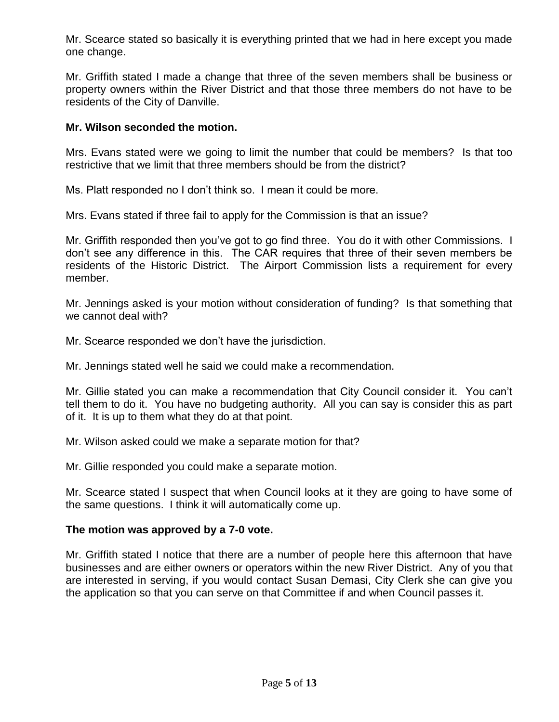Mr. Scearce stated so basically it is everything printed that we had in here except you made one change.

Mr. Griffith stated I made a change that three of the seven members shall be business or property owners within the River District and that those three members do not have to be residents of the City of Danville.

# **Mr. Wilson seconded the motion.**

Mrs. Evans stated were we going to limit the number that could be members? Is that too restrictive that we limit that three members should be from the district?

Ms. Platt responded no I don't think so. I mean it could be more.

Mrs. Evans stated if three fail to apply for the Commission is that an issue?

Mr. Griffith responded then you've got to go find three. You do it with other Commissions. I don't see any difference in this. The CAR requires that three of their seven members be residents of the Historic District. The Airport Commission lists a requirement for every member.

Mr. Jennings asked is your motion without consideration of funding? Is that something that we cannot deal with?

Mr. Scearce responded we don't have the jurisdiction.

Mr. Jennings stated well he said we could make a recommendation.

Mr. Gillie stated you can make a recommendation that City Council consider it. You can't tell them to do it. You have no budgeting authority. All you can say is consider this as part of it. It is up to them what they do at that point.

Mr. Wilson asked could we make a separate motion for that?

Mr. Gillie responded you could make a separate motion.

Mr. Scearce stated I suspect that when Council looks at it they are going to have some of the same questions. I think it will automatically come up.

#### **The motion was approved by a 7-0 vote.**

Mr. Griffith stated I notice that there are a number of people here this afternoon that have businesses and are either owners or operators within the new River District. Any of you that are interested in serving, if you would contact Susan Demasi, City Clerk she can give you the application so that you can serve on that Committee if and when Council passes it.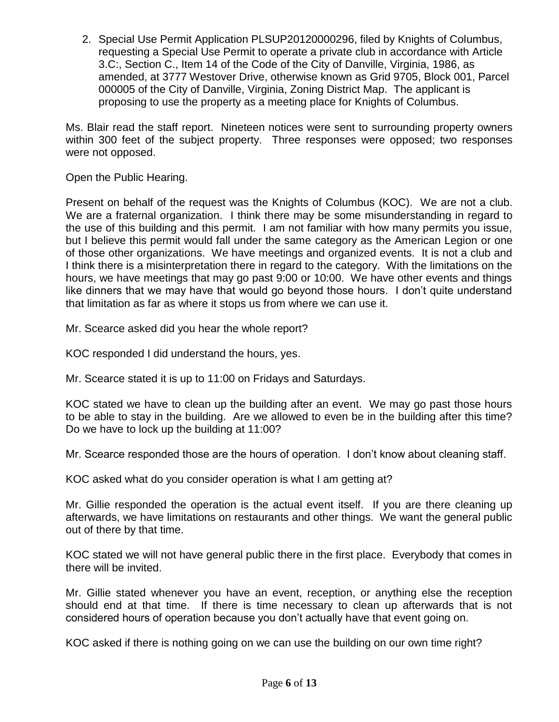2. Special Use Permit Application PLSUP20120000296, filed by Knights of Columbus, requesting a Special Use Permit to operate a private club in accordance with Article 3.C:, Section C., Item 14 of the Code of the City of Danville, Virginia, 1986, as amended, at 3777 Westover Drive, otherwise known as Grid 9705, Block 001, Parcel 000005 of the City of Danville, Virginia, Zoning District Map. The applicant is proposing to use the property as a meeting place for Knights of Columbus.

Ms. Blair read the staff report. Nineteen notices were sent to surrounding property owners within 300 feet of the subject property. Three responses were opposed; two responses were not opposed.

Open the Public Hearing.

Present on behalf of the request was the Knights of Columbus (KOC). We are not a club. We are a fraternal organization. I think there may be some misunderstanding in regard to the use of this building and this permit. I am not familiar with how many permits you issue, but I believe this permit would fall under the same category as the American Legion or one of those other organizations. We have meetings and organized events. It is not a club and I think there is a misinterpretation there in regard to the category. With the limitations on the hours, we have meetings that may go past 9:00 or 10:00. We have other events and things like dinners that we may have that would go beyond those hours. I don't quite understand that limitation as far as where it stops us from where we can use it.

Mr. Scearce asked did you hear the whole report?

KOC responded I did understand the hours, yes.

Mr. Scearce stated it is up to 11:00 on Fridays and Saturdays.

KOC stated we have to clean up the building after an event. We may go past those hours to be able to stay in the building. Are we allowed to even be in the building after this time? Do we have to lock up the building at 11:00?

Mr. Scearce responded those are the hours of operation. I don't know about cleaning staff.

KOC asked what do you consider operation is what I am getting at?

Mr. Gillie responded the operation is the actual event itself. If you are there cleaning up afterwards, we have limitations on restaurants and other things. We want the general public out of there by that time.

KOC stated we will not have general public there in the first place. Everybody that comes in there will be invited.

Mr. Gillie stated whenever you have an event, reception, or anything else the reception should end at that time. If there is time necessary to clean up afterwards that is not considered hours of operation because you don't actually have that event going on.

KOC asked if there is nothing going on we can use the building on our own time right?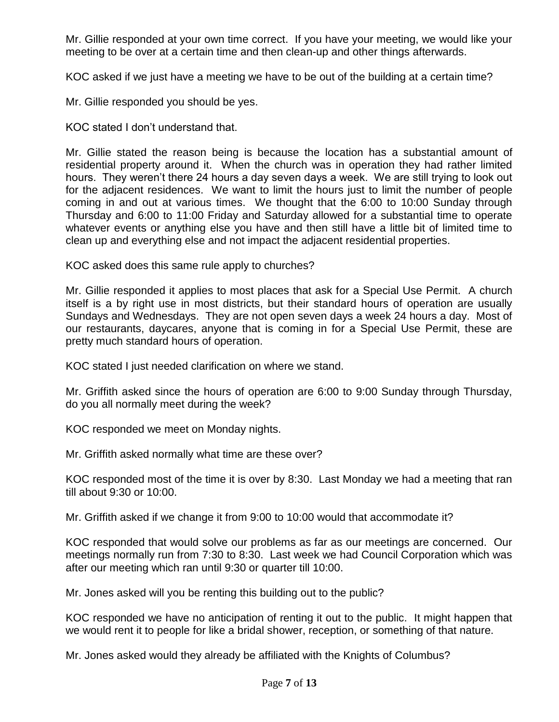Mr. Gillie responded at your own time correct. If you have your meeting, we would like your meeting to be over at a certain time and then clean-up and other things afterwards.

KOC asked if we just have a meeting we have to be out of the building at a certain time?

Mr. Gillie responded you should be yes.

KOC stated I don't understand that.

Mr. Gillie stated the reason being is because the location has a substantial amount of residential property around it. When the church was in operation they had rather limited hours. They weren't there 24 hours a day seven days a week. We are still trying to look out for the adjacent residences. We want to limit the hours just to limit the number of people coming in and out at various times. We thought that the 6:00 to 10:00 Sunday through Thursday and 6:00 to 11:00 Friday and Saturday allowed for a substantial time to operate whatever events or anything else you have and then still have a little bit of limited time to clean up and everything else and not impact the adjacent residential properties.

KOC asked does this same rule apply to churches?

Mr. Gillie responded it applies to most places that ask for a Special Use Permit. A church itself is a by right use in most districts, but their standard hours of operation are usually Sundays and Wednesdays. They are not open seven days a week 24 hours a day. Most of our restaurants, daycares, anyone that is coming in for a Special Use Permit, these are pretty much standard hours of operation.

KOC stated I just needed clarification on where we stand.

Mr. Griffith asked since the hours of operation are 6:00 to 9:00 Sunday through Thursday, do you all normally meet during the week?

KOC responded we meet on Monday nights.

Mr. Griffith asked normally what time are these over?

KOC responded most of the time it is over by 8:30. Last Monday we had a meeting that ran till about 9:30 or 10:00.

Mr. Griffith asked if we change it from 9:00 to 10:00 would that accommodate it?

KOC responded that would solve our problems as far as our meetings are concerned. Our meetings normally run from 7:30 to 8:30. Last week we had Council Corporation which was after our meeting which ran until 9:30 or quarter till 10:00.

Mr. Jones asked will you be renting this building out to the public?

KOC responded we have no anticipation of renting it out to the public. It might happen that we would rent it to people for like a bridal shower, reception, or something of that nature.

Mr. Jones asked would they already be affiliated with the Knights of Columbus?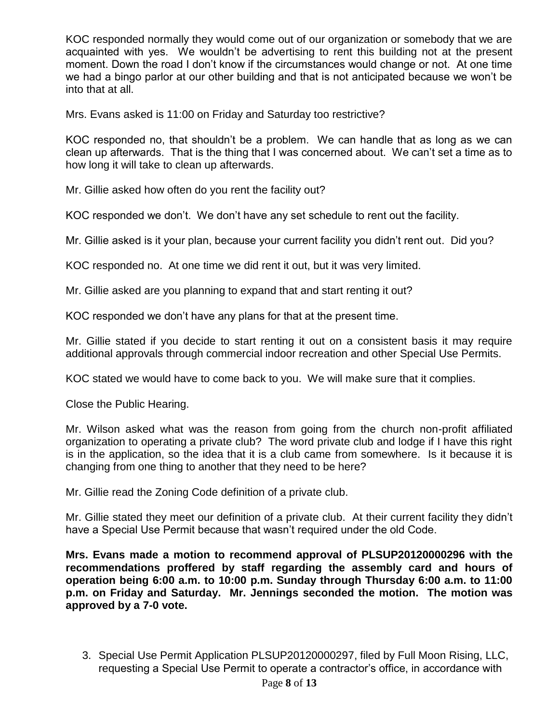KOC responded normally they would come out of our organization or somebody that we are acquainted with yes. We wouldn't be advertising to rent this building not at the present moment. Down the road I don't know if the circumstances would change or not. At one time we had a bingo parlor at our other building and that is not anticipated because we won't be into that at all.

Mrs. Evans asked is 11:00 on Friday and Saturday too restrictive?

KOC responded no, that shouldn't be a problem. We can handle that as long as we can clean up afterwards. That is the thing that I was concerned about. We can't set a time as to how long it will take to clean up afterwards.

Mr. Gillie asked how often do you rent the facility out?

KOC responded we don't. We don't have any set schedule to rent out the facility.

Mr. Gillie asked is it your plan, because your current facility you didn't rent out. Did you?

KOC responded no. At one time we did rent it out, but it was very limited.

Mr. Gillie asked are you planning to expand that and start renting it out?

KOC responded we don't have any plans for that at the present time.

Mr. Gillie stated if you decide to start renting it out on a consistent basis it may require additional approvals through commercial indoor recreation and other Special Use Permits.

KOC stated we would have to come back to you. We will make sure that it complies.

Close the Public Hearing.

Mr. Wilson asked what was the reason from going from the church non-profit affiliated organization to operating a private club? The word private club and lodge if I have this right is in the application, so the idea that it is a club came from somewhere. Is it because it is changing from one thing to another that they need to be here?

Mr. Gillie read the Zoning Code definition of a private club.

Mr. Gillie stated they meet our definition of a private club. At their current facility they didn't have a Special Use Permit because that wasn't required under the old Code.

**Mrs. Evans made a motion to recommend approval of PLSUP20120000296 with the recommendations proffered by staff regarding the assembly card and hours of operation being 6:00 a.m. to 10:00 p.m. Sunday through Thursday 6:00 a.m. to 11:00 p.m. on Friday and Saturday. Mr. Jennings seconded the motion. The motion was approved by a 7-0 vote.** 

3. Special Use Permit Application PLSUP20120000297, filed by Full Moon Rising, LLC, requesting a Special Use Permit to operate a contractor's office, in accordance with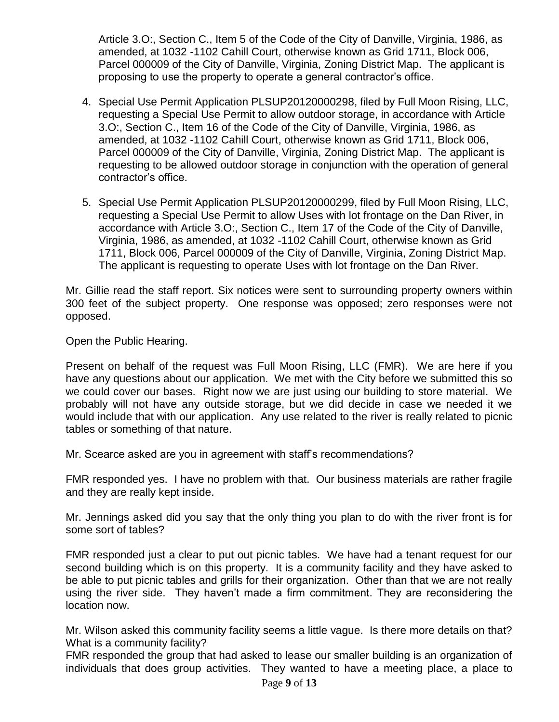Article 3.O:, Section C., Item 5 of the Code of the City of Danville, Virginia, 1986, as amended, at 1032 -1102 Cahill Court, otherwise known as Grid 1711, Block 006, Parcel 000009 of the City of Danville, Virginia, Zoning District Map. The applicant is proposing to use the property to operate a general contractor's office.

- 4. Special Use Permit Application PLSUP20120000298, filed by Full Moon Rising, LLC, requesting a Special Use Permit to allow outdoor storage, in accordance with Article 3.O:, Section C., Item 16 of the Code of the City of Danville, Virginia, 1986, as amended, at 1032 -1102 Cahill Court, otherwise known as Grid 1711, Block 006, Parcel 000009 of the City of Danville, Virginia, Zoning District Map. The applicant is requesting to be allowed outdoor storage in conjunction with the operation of general contractor's office.
- 5. Special Use Permit Application PLSUP20120000299, filed by Full Moon Rising, LLC, requesting a Special Use Permit to allow Uses with lot frontage on the Dan River, in accordance with Article 3.O:, Section C., Item 17 of the Code of the City of Danville, Virginia, 1986, as amended, at 1032 -1102 Cahill Court, otherwise known as Grid 1711, Block 006, Parcel 000009 of the City of Danville, Virginia, Zoning District Map. The applicant is requesting to operate Uses with lot frontage on the Dan River.

Mr. Gillie read the staff report. Six notices were sent to surrounding property owners within 300 feet of the subject property. One response was opposed; zero responses were not opposed.

Open the Public Hearing.

Present on behalf of the request was Full Moon Rising, LLC (FMR). We are here if you have any questions about our application. We met with the City before we submitted this so we could cover our bases. Right now we are just using our building to store material. We probably will not have any outside storage, but we did decide in case we needed it we would include that with our application. Any use related to the river is really related to picnic tables or something of that nature.

Mr. Scearce asked are you in agreement with staff's recommendations?

FMR responded yes. I have no problem with that. Our business materials are rather fragile and they are really kept inside.

Mr. Jennings asked did you say that the only thing you plan to do with the river front is for some sort of tables?

FMR responded just a clear to put out picnic tables. We have had a tenant request for our second building which is on this property. It is a community facility and they have asked to be able to put picnic tables and grills for their organization. Other than that we are not really using the river side. They haven't made a firm commitment. They are reconsidering the location now.

Mr. Wilson asked this community facility seems a little vague. Is there more details on that? What is a community facility?

FMR responded the group that had asked to lease our smaller building is an organization of individuals that does group activities. They wanted to have a meeting place, a place to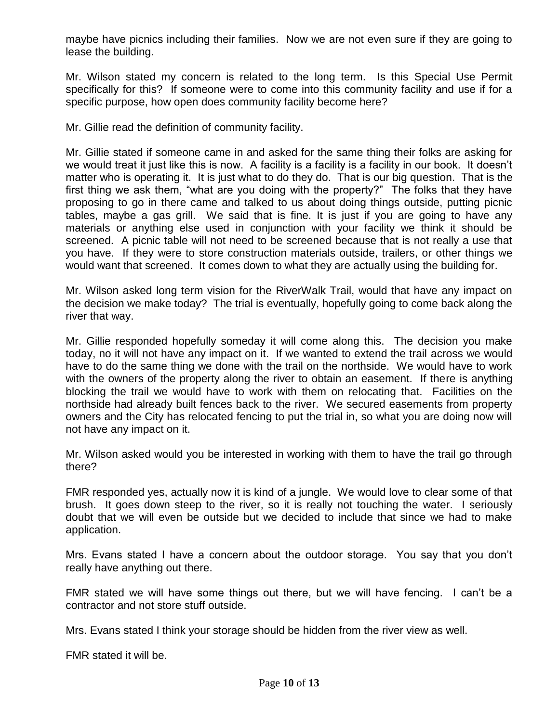maybe have picnics including their families. Now we are not even sure if they are going to lease the building.

Mr. Wilson stated my concern is related to the long term. Is this Special Use Permit specifically for this? If someone were to come into this community facility and use if for a specific purpose, how open does community facility become here?

Mr. Gillie read the definition of community facility.

Mr. Gillie stated if someone came in and asked for the same thing their folks are asking for we would treat it just like this is now. A facility is a facility is a facility in our book. It doesn't matter who is operating it. It is just what to do they do. That is our big question. That is the first thing we ask them, "what are you doing with the property?" The folks that they have proposing to go in there came and talked to us about doing things outside, putting picnic tables, maybe a gas grill. We said that is fine. It is just if you are going to have any materials or anything else used in conjunction with your facility we think it should be screened. A picnic table will not need to be screened because that is not really a use that you have. If they were to store construction materials outside, trailers, or other things we would want that screened. It comes down to what they are actually using the building for.

Mr. Wilson asked long term vision for the RiverWalk Trail, would that have any impact on the decision we make today? The trial is eventually, hopefully going to come back along the river that way.

Mr. Gillie responded hopefully someday it will come along this. The decision you make today, no it will not have any impact on it. If we wanted to extend the trail across we would have to do the same thing we done with the trail on the northside. We would have to work with the owners of the property along the river to obtain an easement. If there is anything blocking the trail we would have to work with them on relocating that. Facilities on the northside had already built fences back to the river. We secured easements from property owners and the City has relocated fencing to put the trial in, so what you are doing now will not have any impact on it.

Mr. Wilson asked would you be interested in working with them to have the trail go through there?

FMR responded yes, actually now it is kind of a jungle. We would love to clear some of that brush. It goes down steep to the river, so it is really not touching the water. I seriously doubt that we will even be outside but we decided to include that since we had to make application.

Mrs. Evans stated I have a concern about the outdoor storage. You say that you don't really have anything out there.

FMR stated we will have some things out there, but we will have fencing. I can't be a contractor and not store stuff outside.

Mrs. Evans stated I think your storage should be hidden from the river view as well.

FMR stated it will be.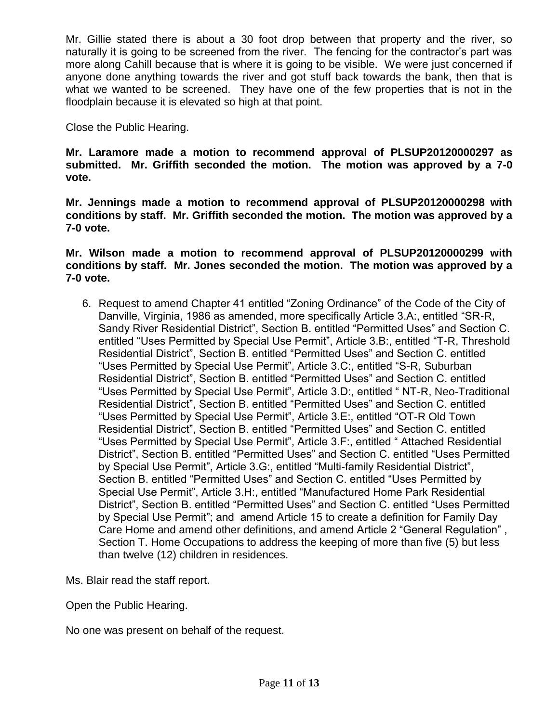Mr. Gillie stated there is about a 30 foot drop between that property and the river, so naturally it is going to be screened from the river. The fencing for the contractor's part was more along Cahill because that is where it is going to be visible. We were just concerned if anyone done anything towards the river and got stuff back towards the bank, then that is what we wanted to be screened. They have one of the few properties that is not in the floodplain because it is elevated so high at that point.

Close the Public Hearing.

**Mr. Laramore made a motion to recommend approval of PLSUP20120000297 as submitted. Mr. Griffith seconded the motion. The motion was approved by a 7-0 vote.** 

**Mr. Jennings made a motion to recommend approval of PLSUP20120000298 with conditions by staff. Mr. Griffith seconded the motion. The motion was approved by a 7-0 vote.**

**Mr. Wilson made a motion to recommend approval of PLSUP20120000299 with conditions by staff. Mr. Jones seconded the motion. The motion was approved by a 7-0 vote.**

6. Request to amend Chapter 41 entitled "Zoning Ordinance" of the Code of the City of Danville, Virginia, 1986 as amended, more specifically Article 3.A:, entitled "SR-R, Sandy River Residential District", Section B. entitled "Permitted Uses" and Section C. entitled "Uses Permitted by Special Use Permit", Article 3.B:, entitled "T-R, Threshold Residential District", Section B. entitled "Permitted Uses" and Section C. entitled "Uses Permitted by Special Use Permit", Article 3.C:, entitled "S-R, Suburban Residential District", Section B. entitled "Permitted Uses" and Section C. entitled "Uses Permitted by Special Use Permit", Article 3.D:, entitled " NT-R, Neo-Traditional Residential District", Section B. entitled "Permitted Uses" and Section C. entitled "Uses Permitted by Special Use Permit", Article 3.E:, entitled "OT-R Old Town Residential District", Section B. entitled "Permitted Uses" and Section C. entitled "Uses Permitted by Special Use Permit", Article 3.F:, entitled " Attached Residential District", Section B. entitled "Permitted Uses" and Section C. entitled "Uses Permitted by Special Use Permit", Article 3.G:, entitled "Multi-family Residential District", Section B. entitled "Permitted Uses" and Section C. entitled "Uses Permitted by Special Use Permit", Article 3.H:, entitled "Manufactured Home Park Residential District", Section B. entitled "Permitted Uses" and Section C. entitled "Uses Permitted by Special Use Permit"; and amend Article 15 to create a definition for Family Day Care Home and amend other definitions, and amend Article 2 "General Regulation" , Section T. Home Occupations to address the keeping of more than five (5) but less than twelve (12) children in residences.

Ms. Blair read the staff report.

Open the Public Hearing.

No one was present on behalf of the request.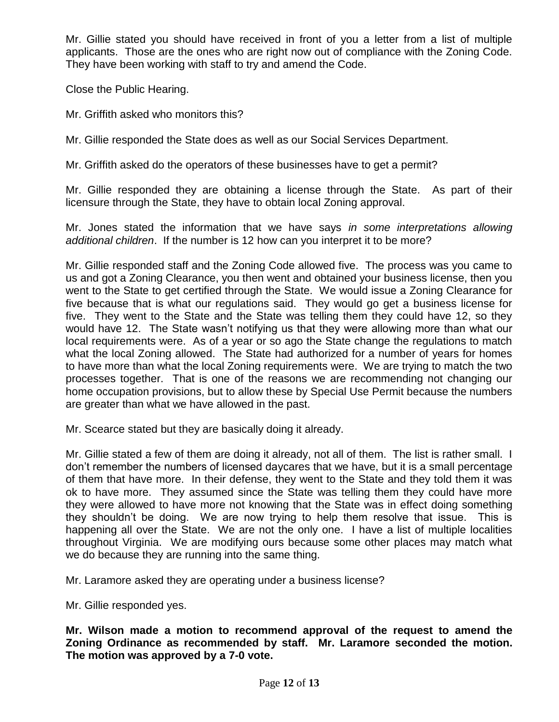Mr. Gillie stated you should have received in front of you a letter from a list of multiple applicants. Those are the ones who are right now out of compliance with the Zoning Code. They have been working with staff to try and amend the Code.

Close the Public Hearing.

Mr. Griffith asked who monitors this?

Mr. Gillie responded the State does as well as our Social Services Department.

Mr. Griffith asked do the operators of these businesses have to get a permit?

Mr. Gillie responded they are obtaining a license through the State. As part of their licensure through the State, they have to obtain local Zoning approval.

Mr. Jones stated the information that we have says *in some interpretations allowing additional children*. If the number is 12 how can you interpret it to be more?

Mr. Gillie responded staff and the Zoning Code allowed five. The process was you came to us and got a Zoning Clearance, you then went and obtained your business license, then you went to the State to get certified through the State. We would issue a Zoning Clearance for five because that is what our regulations said. They would go get a business license for five. They went to the State and the State was telling them they could have 12, so they would have 12. The State wasn't notifying us that they were allowing more than what our local requirements were. As of a year or so ago the State change the regulations to match what the local Zoning allowed. The State had authorized for a number of years for homes to have more than what the local Zoning requirements were. We are trying to match the two processes together. That is one of the reasons we are recommending not changing our home occupation provisions, but to allow these by Special Use Permit because the numbers are greater than what we have allowed in the past.

Mr. Scearce stated but they are basically doing it already.

Mr. Gillie stated a few of them are doing it already, not all of them. The list is rather small. I don't remember the numbers of licensed daycares that we have, but it is a small percentage of them that have more. In their defense, they went to the State and they told them it was ok to have more. They assumed since the State was telling them they could have more they were allowed to have more not knowing that the State was in effect doing something they shouldn't be doing. We are now trying to help them resolve that issue. This is happening all over the State. We are not the only one. I have a list of multiple localities throughout Virginia. We are modifying ours because some other places may match what we do because they are running into the same thing.

Mr. Laramore asked they are operating under a business license?

Mr. Gillie responded yes.

**Mr. Wilson made a motion to recommend approval of the request to amend the Zoning Ordinance as recommended by staff. Mr. Laramore seconded the motion. The motion was approved by a 7-0 vote.**